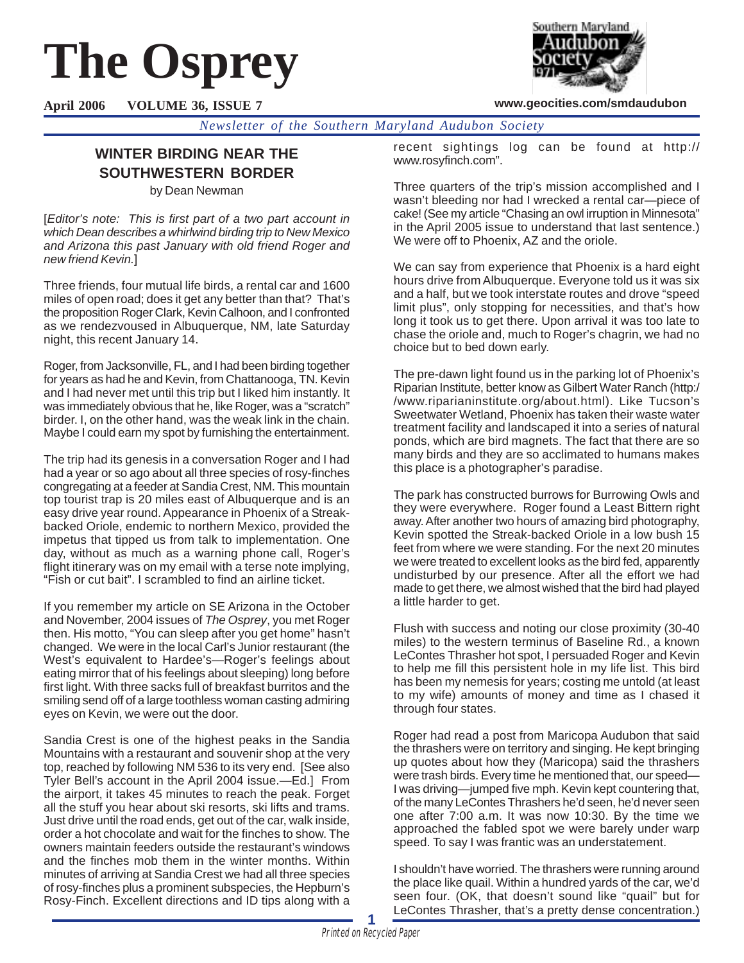# **The Osprey**



**www.geocities.com/smdaudubon**

**April 2006 VOLUME 36, ISSUE 7**

*Newsletter of the Southern Maryland Audubon Society*

# **WINTER BIRDING NEAR THE SOUTHWESTERN BORDER**

by Dean Newman

[Editor's note: This is first part of a two part account in which Dean describes a whirlwind birding trip to New Mexico and Arizona this past January with old friend Roger and new friend Kevin.]

Three friends, four mutual life birds, a rental car and 1600 miles of open road; does it get any better than that? That's the proposition Roger Clark, Kevin Calhoon, and I confronted as we rendezvoused in Albuquerque, NM, late Saturday night, this recent January 14.

Roger, from Jacksonville, FL, and I had been birding together for years as had he and Kevin, from Chattanooga, TN. Kevin and I had never met until this trip but I liked him instantly. It was immediately obvious that he, like Roger, was a "scratch" birder. I, on the other hand, was the weak link in the chain. Maybe I could earn my spot by furnishing the entertainment.

The trip had its genesis in a conversation Roger and I had had a year or so ago about all three species of rosy-finches congregating at a feeder at Sandia Crest, NM. This mountain top tourist trap is 20 miles east of Albuquerque and is an easy drive year round. Appearance in Phoenix of a Streakbacked Oriole, endemic to northern Mexico, provided the impetus that tipped us from talk to implementation. One day, without as much as a warning phone call, Roger's flight itinerary was on my email with a terse note implying, "Fish or cut bait". I scrambled to find an airline ticket.

If you remember my article on SE Arizona in the October and November, 2004 issues of The Osprey, you met Roger then. His motto, "You can sleep after you get home" hasn't changed. We were in the local Carl's Junior restaurant (the West's equivalent to Hardee's—Roger's feelings about eating mirror that of his feelings about sleeping) long before first light. With three sacks full of breakfast burritos and the smiling send off of a large toothless woman casting admiring eyes on Kevin, we were out the door.

Sandia Crest is one of the highest peaks in the Sandia Mountains with a restaurant and souvenir shop at the very top, reached by following NM 536 to its very end. [See also Tyler Bell's account in the April 2004 issue.—Ed.] From the airport, it takes 45 minutes to reach the peak. Forget all the stuff you hear about ski resorts, ski lifts and trams. Just drive until the road ends, get out of the car, walk inside, order a hot chocolate and wait for the finches to show. The owners maintain feeders outside the restaurant's windows and the finches mob them in the winter months. Within minutes of arriving at Sandia Crest we had all three species of rosy-finches plus a prominent subspecies, the Hepburn's Rosy-Finch. Excellent directions and ID tips along with a

recent sightings log can be found at http:// www.rosyfinch.com".

Three quarters of the trip's mission accomplished and I wasn't bleeding nor had I wrecked a rental car—piece of cake! (See my article "Chasing an owl irruption in Minnesota" in the April 2005 issue to understand that last sentence.) We were off to Phoenix, AZ and the oriole.

We can say from experience that Phoenix is a hard eight hours drive from Albuquerque. Everyone told us it was six and a half, but we took interstate routes and drove "speed limit plus", only stopping for necessities, and that's how long it took us to get there. Upon arrival it was too late to chase the oriole and, much to Roger's chagrin, we had no choice but to bed down early.

The pre-dawn light found us in the parking lot of Phoenix's Riparian Institute, better know as Gilbert Water Ranch (http:/ /www.riparianinstitute.org/about.html). Like Tucson's Sweetwater Wetland, Phoenix has taken their waste water treatment facility and landscaped it into a series of natural ponds, which are bird magnets. The fact that there are so many birds and they are so acclimated to humans makes this place is a photographer's paradise.

The park has constructed burrows for Burrowing Owls and they were everywhere. Roger found a Least Bittern right away. After another two hours of amazing bird photography, Kevin spotted the Streak-backed Oriole in a low bush 15 feet from where we were standing. For the next 20 minutes we were treated to excellent looks as the bird fed, apparently undisturbed by our presence. After all the effort we had made to get there, we almost wished that the bird had played a little harder to get.

Flush with success and noting our close proximity (30-40 miles) to the western terminus of Baseline Rd., a known LeContes Thrasher hot spot, I persuaded Roger and Kevin to help me fill this persistent hole in my life list. This bird has been my nemesis for years; costing me untold (at least to my wife) amounts of money and time as I chased it through four states.

Roger had read a post from Maricopa Audubon that said the thrashers were on territory and singing. He kept bringing up quotes about how they (Maricopa) said the thrashers were trash birds. Every time he mentioned that, our speed— I was driving—jumped five mph. Kevin kept countering that, of the many LeContes Thrashers he'd seen, he'd never seen one after 7:00 a.m. It was now 10:30. By the time we approached the fabled spot we were barely under warp speed. To say I was frantic was an understatement.

I shouldn't have worried. The thrashers were running around the place like quail. Within a hundred yards of the car, we'd seen four. (OK, that doesn't sound like "quail" but for LeContes Thrasher, that's a pretty dense concentration.)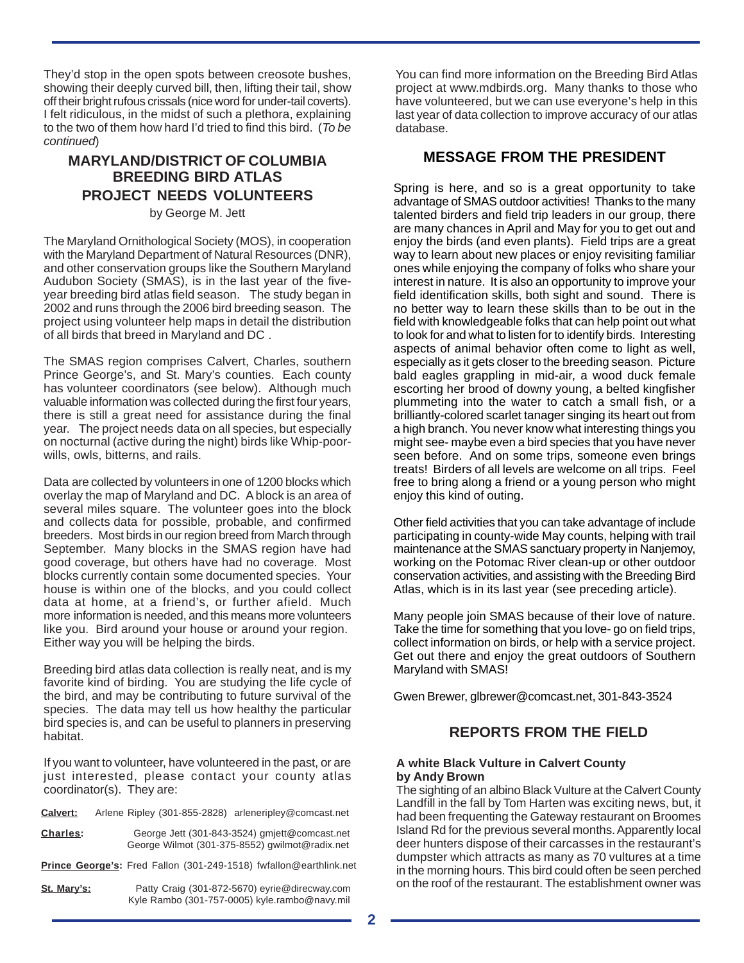They'd stop in the open spots between creosote bushes, showing their deeply curved bill, then, lifting their tail, show off their bright rufous crissals (nice word for under-tail coverts). I felt ridiculous, in the midst of such a plethora, explaining to the two of them how hard I'd tried to find this bird. (To be continued)

## **MARYLAND/DISTRICT OF COLUMBIA BREEDING BIRD ATLAS PROJECT NEEDS VOLUNTEERS**

by George M. Jett

The Maryland Ornithological Society (MOS), in cooperation with the Maryland Department of Natural Resources (DNR), and other conservation groups like the Southern Maryland Audubon Society (SMAS), is in the last year of the fiveyear breeding bird atlas field season. The study began in 2002 and runs through the 2006 bird breeding season. The project using volunteer help maps in detail the distribution of all birds that breed in Maryland and DC .

The SMAS region comprises Calvert, Charles, southern Prince George's, and St. Mary's counties. Each county has volunteer coordinators (see below). Although much valuable information was collected during the first four years, there is still a great need for assistance during the final year. The project needs data on all species, but especially on nocturnal (active during the night) birds like Whip-poorwills, owls, bitterns, and rails.

Data are collected by volunteers in one of 1200 blocks which overlay the map of Maryland and DC. A block is an area of several miles square. The volunteer goes into the block and collects data for possible, probable, and confirmed breeders. Most birds in our region breed from March through September. Many blocks in the SMAS region have had good coverage, but others have had no coverage. Most blocks currently contain some documented species. Your house is within one of the blocks, and you could collect data at home, at a friend's, or further afield. Much more information is needed, and this means more volunteers like you. Bird around your house or around your region. Either way you will be helping the birds.

Breeding bird atlas data collection is really neat, and is my favorite kind of birding. You are studying the life cycle of the bird, and may be contributing to future survival of the species. The data may tell us how healthy the particular bird species is, and can be useful to planners in preserving habitat.

If you want to volunteer, have volunteered in the past, or are just interested, please contact your county atlas coordinator(s). They are:

| <b>Calvert:</b> | Arlene Ripley (301-855-2828) arleneripley@comcast.net                                           |  |
|-----------------|-------------------------------------------------------------------------------------------------|--|
| Charles:        | George Jett (301-843-3524) gmjett@comcast.net<br>George Wilmot (301-375-8552) gwilmot@radix.net |  |

**Prince George's:** Fred Fallon (301-249-1518) fwfallon@earthlink.net

| St. Mary's: | Patty Craig (301-872-5670) eyrie@direcway.com |
|-------------|-----------------------------------------------|
|             | Kyle Rambo (301-757-0005) kyle.rambo@navy.mil |

You can find more information on the Breeding Bird Atlas project at www.mdbirds.org. Many thanks to those who have volunteered, but we can use everyone's help in this last year of data collection to improve accuracy of our atlas database.

### **MESSAGE FROM THE PRESIDENT**

Spring is here, and so is a great opportunity to take advantage of SMAS outdoor activities! Thanks to the many talented birders and field trip leaders in our group, there are many chances in April and May for you to get out and enjoy the birds (and even plants). Field trips are a great way to learn about new places or enjoy revisiting familiar ones while enjoying the company of folks who share your interest in nature. It is also an opportunity to improve your field identification skills, both sight and sound. There is no better way to learn these skills than to be out in the field with knowledgeable folks that can help point out what to look for and what to listen for to identify birds. Interesting aspects of animal behavior often come to light as well, especially as it gets closer to the breeding season. Picture bald eagles grappling in mid-air, a wood duck female escorting her brood of downy young, a belted kingfisher plummeting into the water to catch a small fish, or a brilliantly-colored scarlet tanager singing its heart out from a high branch. You never know what interesting things you might see- maybe even a bird species that you have never seen before. And on some trips, someone even brings treats! Birders of all levels are welcome on all trips. Feel free to bring along a friend or a young person who might enjoy this kind of outing.

Other field activities that you can take advantage of include participating in county-wide May counts, helping with trail maintenance at the SMAS sanctuary property in Nanjemoy, working on the Potomac River clean-up or other outdoor conservation activities, and assisting with the Breeding Bird Atlas, which is in its last year (see preceding article).

Many people join SMAS because of their love of nature. Take the time for something that you love- go on field trips, collect information on birds, or help with a service project. Get out there and enjoy the great outdoors of Southern Maryland with SMAS!

Gwen Brewer, glbrewer@comcast.net, 301-843-3524

## **REPORTS FROM THE FIELD**

#### **A white Black Vulture in Calvert County by Andy Brown**

The sighting of an albino Black Vulture at the Calvert County Landfill in the fall by Tom Harten was exciting news, but, it had been frequenting the Gateway restaurant on Broomes Island Rd for the previous several months. Apparently local deer hunters dispose of their carcasses in the restaurant's dumpster which attracts as many as 70 vultures at a time in the morning hours. This bird could often be seen perched on the roof of the restaurant. The establishment owner was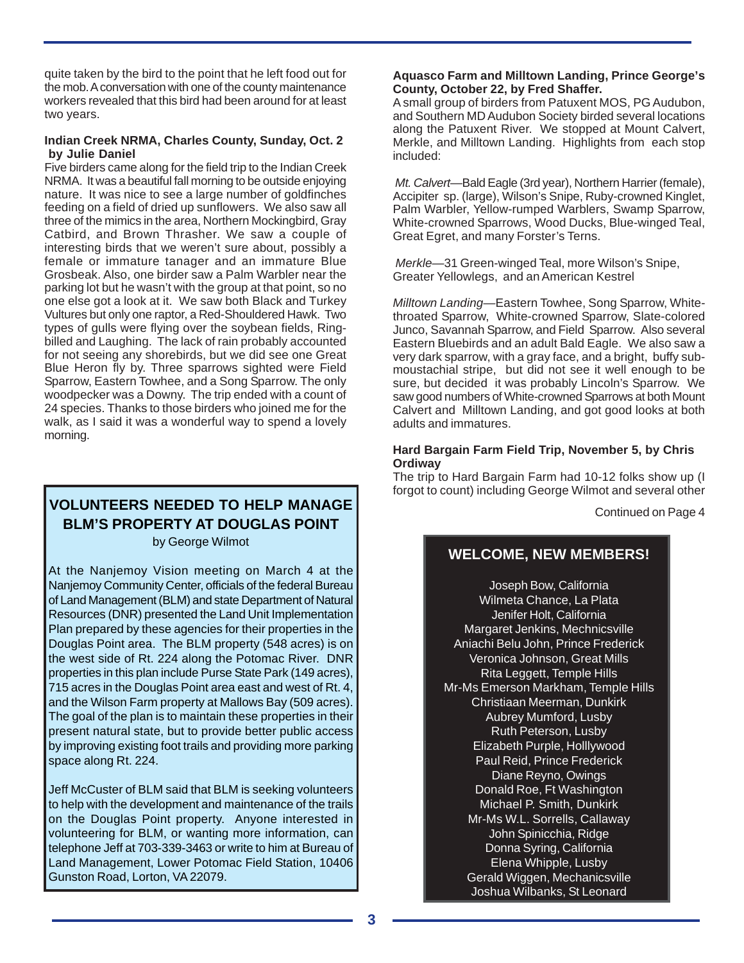quite taken by the bird to the point that he left food out for the mob. A conversation with one of the county maintenance workers revealed that this bird had been around for at least two years.

#### **Indian Creek NRMA, Charles County, Sunday, Oct. 2 by Julie Daniel**

Five birders came along for the field trip to the Indian Creek NRMA. It was a beautiful fall morning to be outside enjoying nature. It was nice to see a large number of goldfinches feeding on a field of dried up sunflowers. We also saw all three of the mimics in the area, Northern Mockingbird, Gray Catbird, and Brown Thrasher. We saw a couple of interesting birds that we weren't sure about, possibly a female or immature tanager and an immature Blue Grosbeak. Also, one birder saw a Palm Warbler near the parking lot but he wasn't with the group at that point, so no one else got a look at it. We saw both Black and Turkey Vultures but only one raptor, a Red-Shouldered Hawk. Two types of gulls were flying over the soybean fields, Ringbilled and Laughing. The lack of rain probably accounted for not seeing any shorebirds, but we did see one Great Blue Heron fly by. Three sparrows sighted were Field Sparrow, Eastern Towhee, and a Song Sparrow. The only woodpecker was a Downy. The trip ended with a count of 24 species. Thanks to those birders who joined me for the walk, as I said it was a wonderful way to spend a lovely morning.

# **VOLUNTEERS NEEDED TO HELP MANAGE BLM'S PROPERTY AT DOUGLAS POINT**

by George Wilmot

At the Nanjemoy Vision meeting on March 4 at the Nanjemoy Community Center, officials of the federal Bureau of Land Management (BLM) and state Department of Natural Resources (DNR) presented the Land Unit Implementation Plan prepared by these agencies for their properties in the Douglas Point area. The BLM property (548 acres) is on the west side of Rt. 224 along the Potomac River. DNR properties in this plan include Purse State Park (149 acres), 715 acres in the Douglas Point area east and west of Rt. 4, and the Wilson Farm property at Mallows Bay (509 acres). The goal of the plan is to maintain these properties in their present natural state, but to provide better public access by improving existing foot trails and providing more parking space along Rt. 224.

Jeff McCuster of BLM said that BLM is seeking volunteers to help with the development and maintenance of the trails on the Douglas Point property. Anyone interested in volunteering for BLM, or wanting more information, can telephone Jeff at 703-339-3463 or write to him at Bureau of Land Management, Lower Potomac Field Station, 10406 Gunston Road, Lorton, VA 22079.

#### **Aquasco Farm and Milltown Landing, Prince George's County, October 22, by Fred Shaffer.**

A small group of birders from Patuxent MOS, PG Audubon, and Southern MD Audubon Society birded several locations along the Patuxent River. We stopped at Mount Calvert, Merkle, and Milltown Landing. Highlights from each stop included:

Mt. Calvert—Bald Eagle (3rd year), Northern Harrier (female), Accipiter sp. (large), Wilson's Snipe, Ruby-crowned Kinglet, Palm Warbler, Yellow-rumped Warblers, Swamp Sparrow, White-crowned Sparrows, Wood Ducks, Blue-winged Teal, Great Egret, and many Forster's Terns.

Merkle—31 Green-winged Teal, more Wilson's Snipe, Greater Yellowlegs, and an American Kestrel

Milltown Landing—Eastern Towhee, Song Sparrow, Whitethroated Sparrow, White-crowned Sparrow, Slate-colored Junco, Savannah Sparrow, and Field Sparrow. Also several Eastern Bluebirds and an adult Bald Eagle. We also saw a very dark sparrow, with a gray face, and a bright, buffy submoustachial stripe, but did not see it well enough to be sure, but decided it was probably Lincoln's Sparrow. We saw good numbers of White-crowned Sparrows at both Mount Calvert and Milltown Landing, and got good looks at both adults and immatures.

#### **Hard Bargain Farm Field Trip, November 5, by Chris Ordiway**

The trip to Hard Bargain Farm had 10-12 folks show up (I forgot to count) including George Wilmot and several other

Continued on Page 4

# **WELCOME, NEW MEMBERS!**

Joseph Bow, California Wilmeta Chance, La Plata Jenifer Holt, California Margaret Jenkins, Mechnicsville Aniachi Belu John, Prince Frederick Veronica Johnson, Great Mills Rita Leggett, Temple Hills Mr-Ms Emerson Markham, Temple Hills Christiaan Meerman, Dunkirk Aubrey Mumford, Lusby Ruth Peterson, Lusby Elizabeth Purple, Holllywood Paul Reid, Prince Frederick Diane Reyno, Owings Donald Roe, Ft Washington Michael P. Smith, Dunkirk Mr-Ms W.L. Sorrells, Callaway John Spinicchia, Ridge Donna Syring, California Elena Whipple, Lusby Gerald Wiggen, Mechanicsville Joshua Wilbanks, St Leonard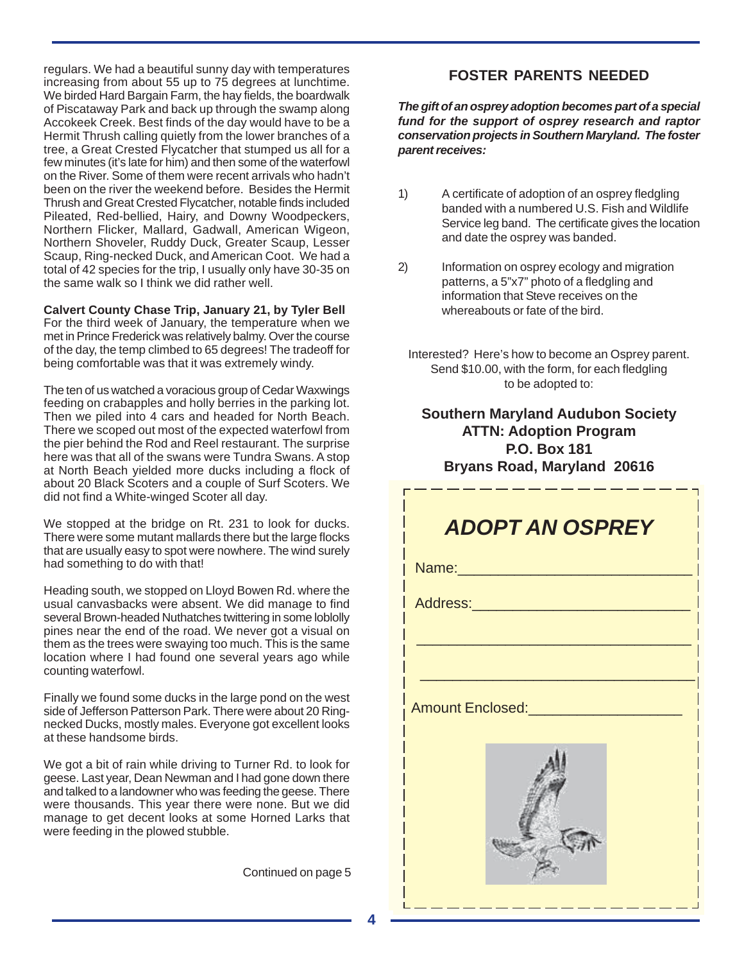regulars. We had a beautiful sunny day with temperatures increasing from about 55 up to 75 degrees at lunchtime. We birded Hard Bargain Farm, the hay fields, the boardwalk of Piscataway Park and back up through the swamp along Accokeek Creek. Best finds of the day would have to be a Hermit Thrush calling quietly from the lower branches of a tree, a Great Crested Flycatcher that stumped us all for a few minutes (it's late for him) and then some of the waterfowl on the River. Some of them were recent arrivals who hadn't been on the river the weekend before. Besides the Hermit Thrush and Great Crested Flycatcher, notable finds included Pileated, Red-bellied, Hairy, and Downy Woodpeckers, Northern Flicker, Mallard, Gadwall, American Wigeon, Northern Shoveler, Ruddy Duck, Greater Scaup, Lesser Scaup, Ring-necked Duck, and American Coot. We had a total of 42 species for the trip, I usually only have 30-35 on the same walk so I think we did rather well.

**Calvert County Chase Trip, January 21, by Tyler Bell** For the third week of January, the temperature when we met in Prince Frederick was relatively balmy. Over the course of the day, the temp climbed to 65 degrees! The tradeoff for being comfortable was that it was extremely windy.

The ten of us watched a voracious group of Cedar Waxwings feeding on crabapples and holly berries in the parking lot. Then we piled into 4 cars and headed for North Beach. There we scoped out most of the expected waterfowl from the pier behind the Rod and Reel restaurant. The surprise here was that all of the swans were Tundra Swans. A stop at North Beach yielded more ducks including a flock of about 20 Black Scoters and a couple of Surf Scoters. We did not find a White-winged Scoter all day.

We stopped at the bridge on Rt. 231 to look for ducks. There were some mutant mallards there but the large flocks that are usually easy to spot were nowhere. The wind surely had something to do with that!

Heading south, we stopped on Lloyd Bowen Rd. where the usual canvasbacks were absent. We did manage to find several Brown-headed Nuthatches twittering in some loblolly pines near the end of the road. We never got a visual on them as the trees were swaying too much. This is the same location where I had found one several years ago while counting waterfowl.

Finally we found some ducks in the large pond on the west side of Jefferson Patterson Park. There were about 20 Ringnecked Ducks, mostly males. Everyone got excellent looks at these handsome birds.

We got a bit of rain while driving to Turner Rd. to look for geese. Last year, Dean Newman and I had gone down there and talked to a landowner who was feeding the geese. There were thousands. This year there were none. But we did manage to get decent looks at some Horned Larks that were feeding in the plowed stubble.

Continued on page 5

# **FOSTER PARENTS NEEDED**

**The gift of an osprey adoption becomes part of a special fund for the support of osprey research and raptor conservation projects in Southern Maryland. The foster parent receives:**

- 1) A certificate of adoption of an osprey fledgling banded with a numbered U.S. Fish and Wildlife Service leg band. The certificate gives the location and date the osprey was banded.
- 2) Information on osprey ecology and migration patterns, a 5"x7" photo of a fledgling and information that Steve receives on the whereabouts or fate of the bird.
	- Interested? Here's how to become an Osprey parent. Send \$10.00, with the form, for each fledgling to be adopted to:

## **Southern Maryland Audubon Society ATTN: Adoption Program P.O. Box 181 Bryans Road, Maryland 20616**

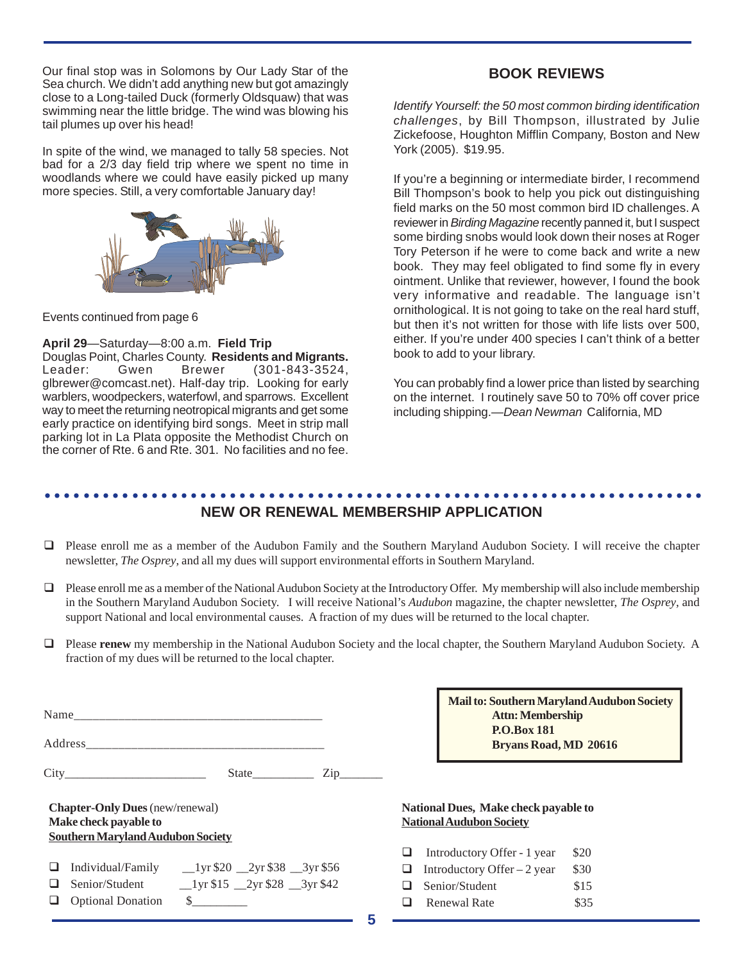Our final stop was in Solomons by Our Lady Star of the Sea church. We didn't add anything new but got amazingly close to a Long-tailed Duck (formerly Oldsquaw) that was swimming near the little bridge. The wind was blowing his tail plumes up over his head!

In spite of the wind, we managed to tally 58 species. Not bad for a 2/3 day field trip where we spent no time in woodlands where we could have easily picked up many more species. Still, a very comfortable January day!



Events continued from page 6

**April 29**—Saturday—8:00 a.m. **Field Trip** Douglas Point, Charles County. **Residents and Migrants.** Leader: Gwen Brewer (301-843-3524, glbrewer@comcast.net). Half-day trip. Looking for early

warblers, woodpeckers, waterfowl, and sparrows. Excellent way to meet the returning neotropical migrants and get some early practice on identifying bird songs. Meet in strip mall parking lot in La Plata opposite the Methodist Church on the corner of Rte. 6 and Rte. 301. No facilities and no fee.

## **BOOK REVIEWS**

Identify Yourself: the 50 most common birding identification challenges, by Bill Thompson, illustrated by Julie Zickefoose, Houghton Mifflin Company, Boston and New York (2005). \$19.95.

If you're a beginning or intermediate birder, I recommend Bill Thompson's book to help you pick out distinguishing field marks on the 50 most common bird ID challenges. A reviewer in Birding Magazine recently panned it, but I suspect some birding snobs would look down their noses at Roger Tory Peterson if he were to come back and write a new book. They may feel obligated to find some fly in every ointment. Unlike that reviewer, however, I found the book very informative and readable. The language isn't ornithological. It is not going to take on the real hard stuff, but then it's not written for those with life lists over 500, either. If you're under 400 species I can't think of a better book to add to your library.

You can probably find a lower price than listed by searching on the internet. I routinely save 50 to 70% off cover price including shipping.—Dean Newman California, MD

#### ○○○○○○○○○○○○○○○○○○○○○○○○○○○○○○○○○○○○○○○○○○○○○ ○○○○○○○○○○○○○○○○○○○○○○○ **NEW OR RENEWAL MEMBERSHIP APPLICATION**

- ! Please enroll me as a member of the Audubon Family and the Southern Maryland Audubon Society. I will receive the chapter newsletter, *The Osprey*, and all my dues will support environmental efforts in Southern Maryland.
- ! Please enroll me as a member of the National Audubon Society at the Introductory Offer.My membership will also include membership in the Southern Maryland Audubon Society. I will receive National's *Audubon* magazine, the chapter newsletter, *The Osprey*, and support National and local environmental causes. A fraction of my dues will be returned to the local chapter.
- ! Please **renew** my membership in the National Audubon Society and the local chapter, the Southern Maryland Audubon Society. A fraction of my dues will be returned to the local chapter.

|                                                                                                             |                                                           | $\mathsf{Zip}\_$ |  |
|-------------------------------------------------------------------------------------------------------------|-----------------------------------------------------------|------------------|--|
| <b>Chapter-Only Dues</b> (new/renewal)<br>Make check payable to<br><b>Southern Maryland Audubon Society</b> |                                                           |                  |  |
|                                                                                                             | $\Box$ Individual/Family __1yr \$20 __2yr \$38 __3yr \$56 |                  |  |
|                                                                                                             |                                                           |                  |  |

**Q** Optional Donation \$

**Mail to: Southern Maryland Audubon Society Attn: Membership P.O.Box 181 Bryans Road, MD 20616**

### **National Dues, Make check payable to National Audubon Society**

| ⊔. | Introductory Offer - 1 year  | \$20 |
|----|------------------------------|------|
| ⊔. | Introductory Offer $-2$ year | \$30 |
|    | $\Box$ Senior/Student        | \$15 |
| ப  | <b>Renewal Rate</b>          | \$35 |